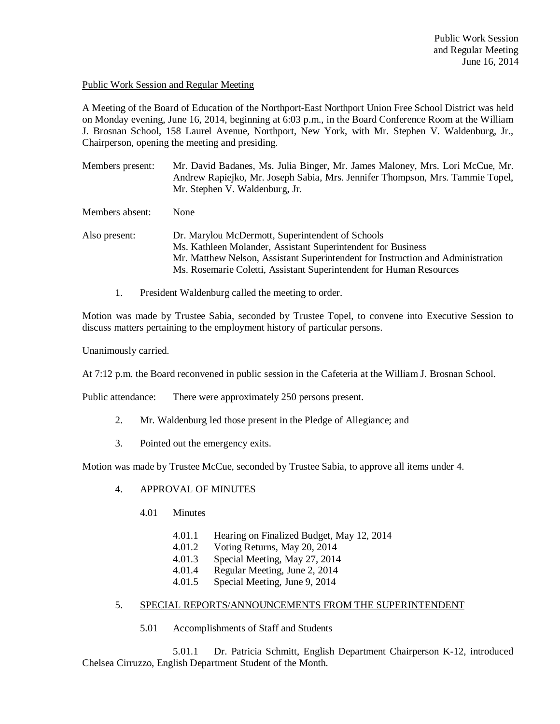## Public Work Session and Regular Meeting

A Meeting of the Board of Education of the Northport-East Northport Union Free School District was held on Monday evening, June 16, 2014, beginning at 6:03 p.m., in the Board Conference Room at the William J. Brosnan School, 158 Laurel Avenue, Northport, New York, with Mr. Stephen V. Waldenburg, Jr., Chairperson, opening the meeting and presiding.

| Members present: | Mr. David Badanes, Ms. Julia Binger, Mr. James Maloney, Mrs. Lori McCue, Mr.<br>Andrew Rapiejko, Mr. Joseph Sabia, Mrs. Jennifer Thompson, Mrs. Tammie Topel,<br>Mr. Stephen V. Waldenburg, Jr.                                                                            |
|------------------|----------------------------------------------------------------------------------------------------------------------------------------------------------------------------------------------------------------------------------------------------------------------------|
| Members absent:  | None                                                                                                                                                                                                                                                                       |
| Also present:    | Dr. Marylou McDermott, Superintendent of Schools<br>Ms. Kathleen Molander, Assistant Superintendent for Business<br>Mr. Matthew Nelson, Assistant Superintendent for Instruction and Administration<br>Ms. Rosemarie Coletti, Assistant Superintendent for Human Resources |

1. President Waldenburg called the meeting to order.

Motion was made by Trustee Sabia, seconded by Trustee Topel, to convene into Executive Session to discuss matters pertaining to the employment history of particular persons.

Unanimously carried.

At 7:12 p.m. the Board reconvened in public session in the Cafeteria at the William J. Brosnan School.

Public attendance: There were approximately 250 persons present.

- 2. Mr. Waldenburg led those present in the Pledge of Allegiance; and
- 3. Pointed out the emergency exits.

Motion was made by Trustee McCue, seconded by Trustee Sabia, to approve all items under 4.

# 4. APPROVAL OF MINUTES

- 4.01 Minutes
	- 4.01.1 Hearing on Finalized Budget, May 12, 2014
	- 4.01.2 Voting Returns, May 20, 2014
	- 4.01.3 Special Meeting, May 27, 2014
	- 4.01.4 Regular Meeting, June 2, 2014
	- 4.01.5 Special Meeting, June 9, 2014
- 5. SPECIAL REPORTS/ANNOUNCEMENTS FROM THE SUPERINTENDENT
	- 5.01 Accomplishments of Staff and Students

5.01.1 Dr. Patricia Schmitt, English Department Chairperson K-12, introduced Chelsea Cirruzzo, English Department Student of the Month.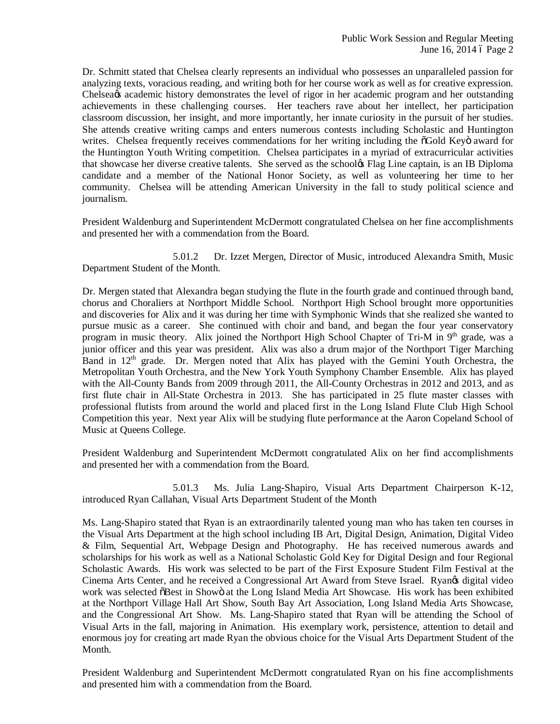Dr. Schmitt stated that Chelsea clearly represents an individual who possesses an unparalleled passion for analyzing texts, voracious reading, and writing both for her course work as well as for creative expression. Chelsea<sub>th</sub> academic history demonstrates the level of rigor in her academic program and her outstanding achievements in these challenging courses. Her teachers rave about her intellect, her participation classroom discussion, her insight, and more importantly, her innate curiosity in the pursuit of her studies. She attends creative writing camps and enters numerous contests including Scholastic and Huntington writes. Chelsea frequently receives commendations for her writing including the  $\tilde{o}$ Gold Keyö award for the Huntington Youth Writing competition. Chelsea participates in a myriad of extracurricular activities that showcase her diverse creative talents. She served as the schoolgs Flag Line captain, is an IB Diploma candidate and a member of the National Honor Society, as well as volunteering her time to her community. Chelsea will be attending American University in the fall to study political science and journalism.

President Waldenburg and Superintendent McDermott congratulated Chelsea on her fine accomplishments and presented her with a commendation from the Board.

5.01.2 Dr. Izzet Mergen, Director of Music, introduced Alexandra Smith, Music Department Student of the Month.

Dr. Mergen stated that Alexandra began studying the flute in the fourth grade and continued through band, chorus and Choraliers at Northport Middle School. Northport High School brought more opportunities and discoveries for Alix and it was during her time with Symphonic Winds that she realized she wanted to pursue music as a career. She continued with choir and band, and began the four year conservatory program in music theory. Alix joined the Northport High School Chapter of Tri-M in 9<sup>th</sup> grade, was a junior officer and this year was president. Alix was also a drum major of the Northport Tiger Marching Band in  $12<sup>th</sup>$  grade. Dr. Mergen noted that Alix has played with the Gemini Youth Orchestra, the Metropolitan Youth Orchestra, and the New York Youth Symphony Chamber Ensemble. Alix has played with the All-County Bands from 2009 through 2011, the All-County Orchestras in 2012 and 2013, and as first flute chair in All-State Orchestra in 2013. She has participated in 25 flute master classes with professional flutists from around the world and placed first in the Long Island Flute Club High School Competition this year. Next year Alix will be studying flute performance at the Aaron Copeland School of Music at Queens College.

President Waldenburg and Superintendent McDermott congratulated Alix on her find accomplishments and presented her with a commendation from the Board.

5.01.3 Ms. Julia Lang-Shapiro, Visual Arts Department Chairperson K-12, introduced Ryan Callahan, Visual Arts Department Student of the Month

Ms. Lang-Shapiro stated that Ryan is an extraordinarily talented young man who has taken ten courses in the Visual Arts Department at the high school including IB Art, Digital Design, Animation, Digital Video & Film, Sequential Art, Webpage Design and Photography. He has received numerous awards and scholarships for his work as well as a National Scholastic Gold Key for Digital Design and four Regional Scholastic Awards. His work was selected to be part of the First Exposure Student Film Festival at the Cinema Arts Center, and he received a Congressional Art Award from Steve Israel. Ryangs digital video work was selected  $\delta$ Best in Showö at the Long Island Media Art Showcase. His work has been exhibited at the Northport Village Hall Art Show, South Bay Art Association, Long Island Media Arts Showcase, and the Congressional Art Show. Ms. Lang-Shapiro stated that Ryan will be attending the School of Visual Arts in the fall, majoring in Animation. His exemplary work, persistence, attention to detail and enormous joy for creating art made Ryan the obvious choice for the Visual Arts Department Student of the Month.

President Waldenburg and Superintendent McDermott congratulated Ryan on his fine accomplishments and presented him with a commendation from the Board.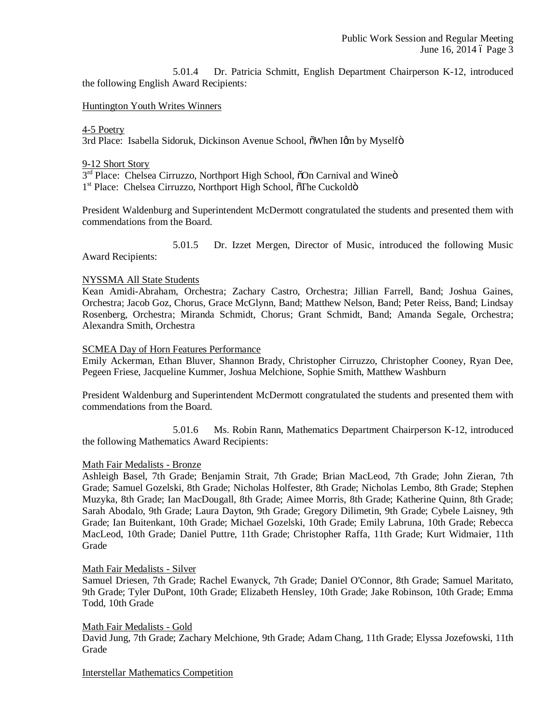5.01.4 Dr. Patricia Schmitt, English Department Chairperson K-12, introduced the following English Award Recipients:

### Huntington Youth Writes Winners

### 4-5 Poetry

3rd Place: Isabella Sidoruk, Dickinson Avenue School, õWhen Iøm by Myselfö

### 9-12 Short Story

3<sup>rd</sup> Place: Chelsea Cirruzzo, Northport High School, õOn Carnival and Wineö 1<sup>st</sup> Place: Chelsea Cirruzzo, Northport High School,  $\delta$ The Cuckoldö

President Waldenburg and Superintendent McDermott congratulated the students and presented them with commendations from the Board.

5.01.5 Dr. Izzet Mergen, Director of Music, introduced the following Music Award Recipients:

### NYSSMA All State Students

Kean Amidi-Abraham, Orchestra; Zachary Castro, Orchestra; Jillian Farrell, Band; Joshua Gaines, Orchestra; Jacob Goz, Chorus, Grace McGlynn, Band; Matthew Nelson, Band; Peter Reiss, Band; Lindsay Rosenberg, Orchestra; Miranda Schmidt, Chorus; Grant Schmidt, Band; Amanda Segale, Orchestra; Alexandra Smith, Orchestra

### SCMEA Day of Horn Features Performance

Emily Ackerman, Ethan Bluver, Shannon Brady, Christopher Cirruzzo, Christopher Cooney, Ryan Dee, Pegeen Friese, Jacqueline Kummer, Joshua Melchione, Sophie Smith, Matthew Washburn

President Waldenburg and Superintendent McDermott congratulated the students and presented them with commendations from the Board.

5.01.6 Ms. Robin Rann, Mathematics Department Chairperson K-12, introduced the following Mathematics Award Recipients:

#### Math Fair Medalists - Bronze

Ashleigh Basel, 7th Grade; Benjamin Strait, 7th Grade; Brian MacLeod, 7th Grade; John Zieran, 7th Grade; Samuel Gozelski, 8th Grade; Nicholas Holfester, 8th Grade; Nicholas Lembo, 8th Grade; Stephen Muzyka, 8th Grade; Ian MacDougall, 8th Grade; Aimee Morris, 8th Grade; Katherine Quinn, 8th Grade; Sarah Abodalo, 9th Grade; Laura Dayton, 9th Grade; Gregory Dilimetin, 9th Grade; Cybele Laisney, 9th Grade; Ian Buitenkant, 10th Grade; Michael Gozelski, 10th Grade; Emily Labruna, 10th Grade; Rebecca MacLeod, 10th Grade; Daniel Puttre, 11th Grade; Christopher Raffa, 11th Grade; Kurt Widmaier, 11th Grade

#### Math Fair Medalists - Silver

Samuel Driesen, 7th Grade; Rachel Ewanyck, 7th Grade; Daniel O'Connor, 8th Grade; Samuel Maritato, 9th Grade; Tyler DuPont, 10th Grade; Elizabeth Hensley, 10th Grade; Jake Robinson, 10th Grade; Emma Todd, 10th Grade

#### Math Fair Medalists - Gold

David Jung, 7th Grade; Zachary Melchione, 9th Grade; Adam Chang, 11th Grade; Elyssa Jozefowski, 11th Grade

Interstellar Mathematics Competition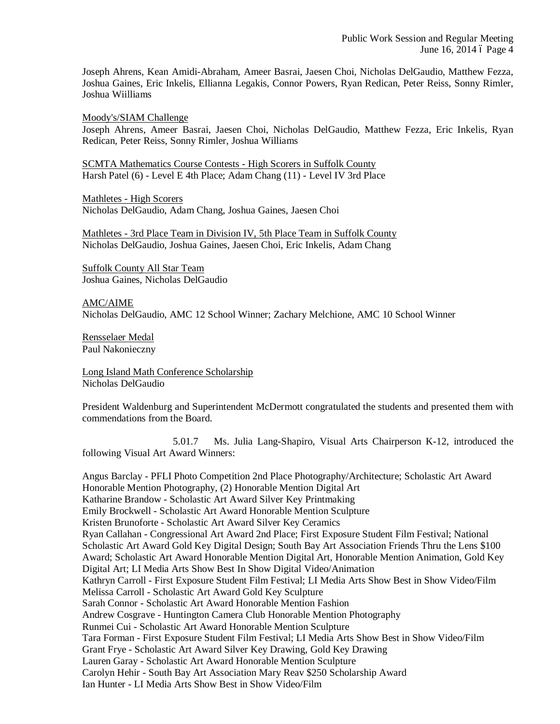Joseph Ahrens, Kean Amidi-Abraham, Ameer Basrai, Jaesen Choi, Nicholas DelGaudio, Matthew Fezza, Joshua Gaines, Eric Inkelis, Ellianna Legakis, Connor Powers, Ryan Redican, Peter Reiss, Sonny Rimler, Joshua Wiilliams

Moody's/SIAM Challenge

Joseph Ahrens, Ameer Basrai, Jaesen Choi, Nicholas DelGaudio, Matthew Fezza, Eric Inkelis, Ryan Redican, Peter Reiss, Sonny Rimler, Joshua Williams

SCMTA Mathematics Course Contests - High Scorers in Suffolk County Harsh Patel (6) - Level E 4th Place; Adam Chang (11) - Level IV 3rd Place

Mathletes - High Scorers Nicholas DelGaudio, Adam Chang, Joshua Gaines, Jaesen Choi

Mathletes - 3rd Place Team in Division IV, 5th Place Team in Suffolk County Nicholas DelGaudio, Joshua Gaines, Jaesen Choi, Eric Inkelis, Adam Chang

Suffolk County All Star Team Joshua Gaines, Nicholas DelGaudio

AMC/AIME Nicholas DelGaudio, AMC 12 School Winner; Zachary Melchione, AMC 10 School Winner

Rensselaer Medal Paul Nakonieczny

Long Island Math Conference Scholarship Nicholas DelGaudio

President Waldenburg and Superintendent McDermott congratulated the students and presented them with commendations from the Board.

5.01.7 Ms. Julia Lang-Shapiro, Visual Arts Chairperson K-12, introduced the following Visual Art Award Winners:

Angus Barclay - PFLI Photo Competition 2nd Place Photography/Architecture; Scholastic Art Award Honorable Mention Photography, (2) Honorable Mention Digital Art Katharine Brandow - Scholastic Art Award Silver Key Printmaking Emily Brockwell - Scholastic Art Award Honorable Mention Sculpture Kristen Brunoforte - Scholastic Art Award Silver Key Ceramics Ryan Callahan - Congressional Art Award 2nd Place; First Exposure Student Film Festival; National Scholastic Art Award Gold Key Digital Design; South Bay Art Association Friends Thru the Lens \$100 Award; Scholastic Art Award Honorable Mention Digital Art, Honorable Mention Animation, Gold Key Digital Art; LI Media Arts Show Best In Show Digital Video/Animation Kathryn Carroll - First Exposure Student Film Festival; LI Media Arts Show Best in Show Video/Film Melissa Carroll - Scholastic Art Award Gold Key Sculpture Sarah Connor - Scholastic Art Award Honorable Mention Fashion Andrew Cosgrave - Huntington Camera Club Honorable Mention Photography Runmei Cui - Scholastic Art Award Honorable Mention Sculpture Tara Forman - First Exposure Student Film Festival; LI Media Arts Show Best in Show Video/Film Grant Frye - Scholastic Art Award Silver Key Drawing, Gold Key Drawing Lauren Garay - Scholastic Art Award Honorable Mention Sculpture Carolyn Hehir - South Bay Art Association Mary Reav \$250 Scholarship Award Ian Hunter - LI Media Arts Show Best in Show Video/Film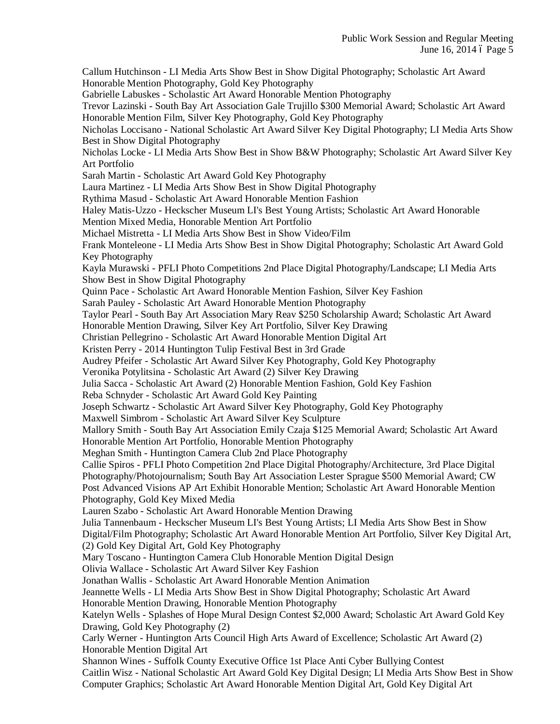Callum Hutchinson - LI Media Arts Show Best in Show Digital Photography; Scholastic Art Award Honorable Mention Photography, Gold Key Photography Gabrielle Labuskes - Scholastic Art Award Honorable Mention Photography Trevor Lazinski - South Bay Art Association Gale Trujillo \$300 Memorial Award; Scholastic Art Award Honorable Mention Film, Silver Key Photography, Gold Key Photography Nicholas Loccisano - National Scholastic Art Award Silver Key Digital Photography; LI Media Arts Show Best in Show Digital Photography Nicholas Locke - LI Media Arts Show Best in Show B&W Photography; Scholastic Art Award Silver Key Art Portfolio Sarah Martin - Scholastic Art Award Gold Key Photography Laura Martinez - LI Media Arts Show Best in Show Digital Photography Rythima Masud - Scholastic Art Award Honorable Mention Fashion Haley Matis-Uzzo - Heckscher Museum LI's Best Young Artists; Scholastic Art Award Honorable Mention Mixed Media, Honorable Mention Art Portfolio Michael Mistretta - LI Media Arts Show Best in Show Video/Film Frank Monteleone - LI Media Arts Show Best in Show Digital Photography; Scholastic Art Award Gold Key Photography Kayla Murawski - PFLI Photo Competitions 2nd Place Digital Photography/Landscape; LI Media Arts Show Best in Show Digital Photography Quinn Pace - Scholastic Art Award Honorable Mention Fashion, Silver Key Fashion Sarah Pauley - Scholastic Art Award Honorable Mention Photography Taylor Pearl - South Bay Art Association Mary Reav \$250 Scholarship Award; Scholastic Art Award Honorable Mention Drawing, Silver Key Art Portfolio, Silver Key Drawing Christian Pellegrino - Scholastic Art Award Honorable Mention Digital Art Kristen Perry - 2014 Huntington Tulip Festival Best in 3rd Grade Audrey Pfeifer - Scholastic Art Award Silver Key Photography, Gold Key Photography Veronika Potylitsina - Scholastic Art Award (2) Silver Key Drawing Julia Sacca - Scholastic Art Award (2) Honorable Mention Fashion, Gold Key Fashion Reba Schnyder - Scholastic Art Award Gold Key Painting Joseph Schwartz - Scholastic Art Award Silver Key Photography, Gold Key Photography Maxwell Simbrom - Scholastic Art Award Silver Key Sculpture Mallory Smith - South Bay Art Association Emily Czaja \$125 Memorial Award; Scholastic Art Award Honorable Mention Art Portfolio, Honorable Mention Photography Meghan Smith - Huntington Camera Club 2nd Place Photography Callie Spiros - PFLI Photo Competition 2nd Place Digital Photography/Architecture, 3rd Place Digital Photography/Photojournalism; South Bay Art Association Lester Sprague \$500 Memorial Award; CW Post Advanced Visions AP Art Exhibit Honorable Mention; Scholastic Art Award Honorable Mention Photography, Gold Key Mixed Media Lauren Szabo - Scholastic Art Award Honorable Mention Drawing Julia Tannenbaum - Heckscher Museum LI's Best Young Artists; LI Media Arts Show Best in Show Digital/Film Photography; Scholastic Art Award Honorable Mention Art Portfolio, Silver Key Digital Art, (2) Gold Key Digital Art, Gold Key Photography Mary Toscano - Huntington Camera Club Honorable Mention Digital Design Olivia Wallace - Scholastic Art Award Silver Key Fashion Jonathan Wallis - Scholastic Art Award Honorable Mention Animation Jeannette Wells - LI Media Arts Show Best in Show Digital Photography; Scholastic Art Award Honorable Mention Drawing, Honorable Mention Photography Katelyn Wells - Splashes of Hope Mural Design Contest \$2,000 Award; Scholastic Art Award Gold Key Drawing, Gold Key Photography (2) Carly Werner - Huntington Arts Council High Arts Award of Excellence; Scholastic Art Award (2) Honorable Mention Digital Art Shannon Wines - Suffolk County Executive Office 1st Place Anti Cyber Bullying Contest Caitlin Wisz - National Scholastic Art Award Gold Key Digital Design; LI Media Arts Show Best in Show Computer Graphics; Scholastic Art Award Honorable Mention Digital Art, Gold Key Digital Art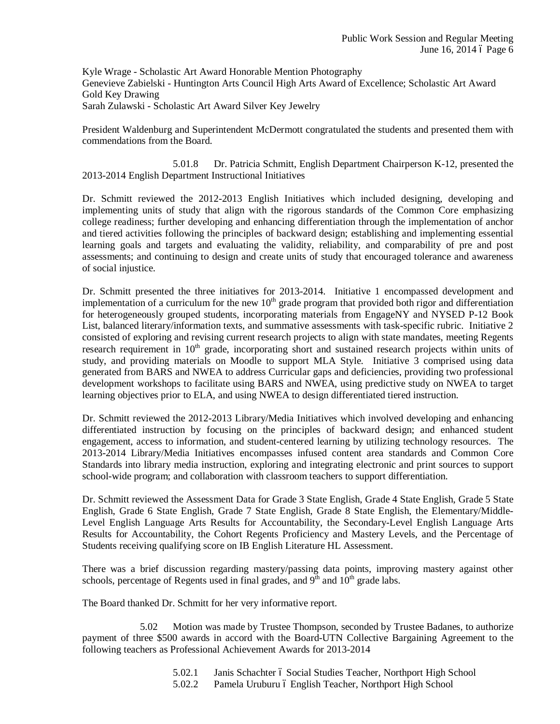Kyle Wrage - Scholastic Art Award Honorable Mention Photography Genevieve Zabielski - Huntington Arts Council High Arts Award of Excellence; Scholastic Art Award Gold Key Drawing Sarah Zulawski - Scholastic Art Award Silver Key Jewelry

President Waldenburg and Superintendent McDermott congratulated the students and presented them with commendations from the Board.

5.01.8 Dr. Patricia Schmitt, English Department Chairperson K-12, presented the 2013-2014 English Department Instructional Initiatives

Dr. Schmitt reviewed the 2012-2013 English Initiatives which included designing, developing and implementing units of study that align with the rigorous standards of the Common Core emphasizing college readiness; further developing and enhancing differentiation through the implementation of anchor and tiered activities following the principles of backward design; establishing and implementing essential learning goals and targets and evaluating the validity, reliability, and comparability of pre and post assessments; and continuing to design and create units of study that encouraged tolerance and awareness of social injustice.

Dr. Schmitt presented the three initiatives for 2013-2014. Initiative 1 encompassed development and implementation of a curriculum for the new  $10<sup>th</sup>$  grade program that provided both rigor and differentiation for heterogeneously grouped students, incorporating materials from EngageNY and NYSED P-12 Book List, balanced literary/information texts, and summative assessments with task-specific rubric. Initiative 2 consisted of exploring and revising current research projects to align with state mandates, meeting Regents research requirement in 10<sup>th</sup> grade, incorporating short and sustained research projects within units of study, and providing materials on Moodle to support MLA Style. Initiative 3 comprised using data generated from BARS and NWEA to address Curricular gaps and deficiencies, providing two professional development workshops to facilitate using BARS and NWEA, using predictive study on NWEA to target learning objectives prior to ELA, and using NWEA to design differentiated tiered instruction.

Dr. Schmitt reviewed the 2012-2013 Library/Media Initiatives which involved developing and enhancing differentiated instruction by focusing on the principles of backward design; and enhanced student engagement, access to information, and student-centered learning by utilizing technology resources. The 2013-2014 Library/Media Initiatives encompasses infused content area standards and Common Core Standards into library media instruction, exploring and integrating electronic and print sources to support school-wide program; and collaboration with classroom teachers to support differentiation.

Dr. Schmitt reviewed the Assessment Data for Grade 3 State English, Grade 4 State English, Grade 5 State English, Grade 6 State English, Grade 7 State English, Grade 8 State English, the Elementary/Middle-Level English Language Arts Results for Accountability, the Secondary-Level English Language Arts Results for Accountability, the Cohort Regents Proficiency and Mastery Levels, and the Percentage of Students receiving qualifying score on IB English Literature HL Assessment.

There was a brief discussion regarding mastery/passing data points, improving mastery against other schools, percentage of Regents used in final grades, and  $9<sup>th</sup>$  and  $10<sup>th</sup>$  grade labs.

The Board thanked Dr. Schmitt for her very informative report.

5.02 Motion was made by Trustee Thompson, seconded by Trustee Badanes, to authorize payment of three \$500 awards in accord with the Board-UTN Collective Bargaining Agreement to the following teachers as Professional Achievement Awards for 2013-2014

- 5.02.1 Janis Schachter 6 Social Studies Teacher, Northport High School
- 5.02.2 Pamela Uruburu ó English Teacher, Northport High School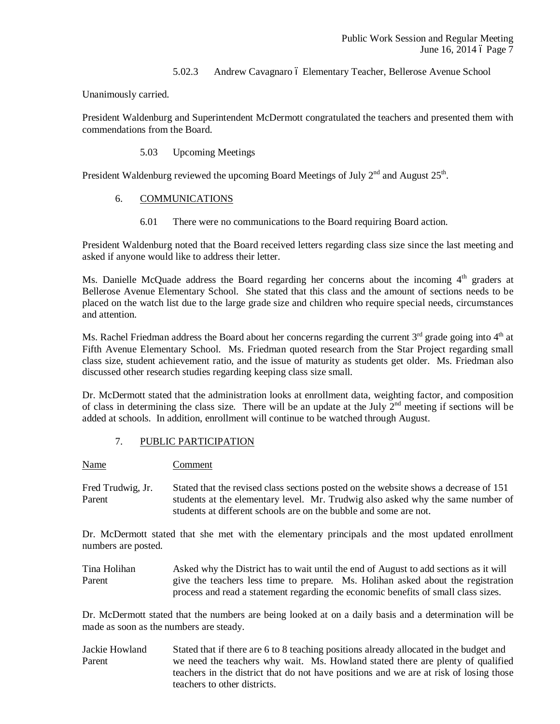## 5.02.3 Andrew Cavagnaro ó Elementary Teacher, Bellerose Avenue School

Unanimously carried.

President Waldenburg and Superintendent McDermott congratulated the teachers and presented them with commendations from the Board.

5.03 Upcoming Meetings

President Waldenburg reviewed the upcoming Board Meetings of July  $2^{nd}$  and August  $25^{th}$ .

- 6. COMMUNICATIONS
	- 6.01 There were no communications to the Board requiring Board action.

President Waldenburg noted that the Board received letters regarding class size since the last meeting and asked if anyone would like to address their letter.

Ms. Danielle McQuade address the Board regarding her concerns about the incoming  $4<sup>th</sup>$  graders at Bellerose Avenue Elementary School. She stated that this class and the amount of sections needs to be placed on the watch list due to the large grade size and children who require special needs, circumstances and attention.

Ms. Rachel Friedman address the Board about her concerns regarding the current  $3<sup>rd</sup>$  grade going into  $4<sup>th</sup>$  at Fifth Avenue Elementary School. Ms. Friedman quoted research from the Star Project regarding small class size, student achievement ratio, and the issue of maturity as students get older. Ms. Friedman also discussed other research studies regarding keeping class size small.

Dr. McDermott stated that the administration looks at enrollment data, weighting factor, and composition of class in determining the class size. There will be an update at the July  $2<sup>nd</sup>$  meeting if sections will be added at schools. In addition, enrollment will continue to be watched through August.

7. PUBLIC PARTICIPATION

Name Comment

Fred Trudwig, Jr. Stated that the revised class sections posted on the website shows a decrease of 151 Parent students at the elementary level. Mr. Trudwig also asked why the same number of students at different schools are on the bubble and some are not.

Dr. McDermott stated that she met with the elementary principals and the most updated enrollment numbers are posted.

Tina Holihan Asked why the District has to wait until the end of August to add sections as it will Parent give the teachers less time to prepare. Ms. Holihan asked about the registration process and read a statement regarding the economic benefits of small class sizes.

Dr. McDermott stated that the numbers are being looked at on a daily basis and a determination will be made as soon as the numbers are steady.

Jackie Howland Stated that if there are 6 to 8 teaching positions already allocated in the budget and Parent we need the teachers why wait. Ms. Howland stated there are plenty of qualified teachers in the district that do not have positions and we are at risk of losing those teachers to other districts.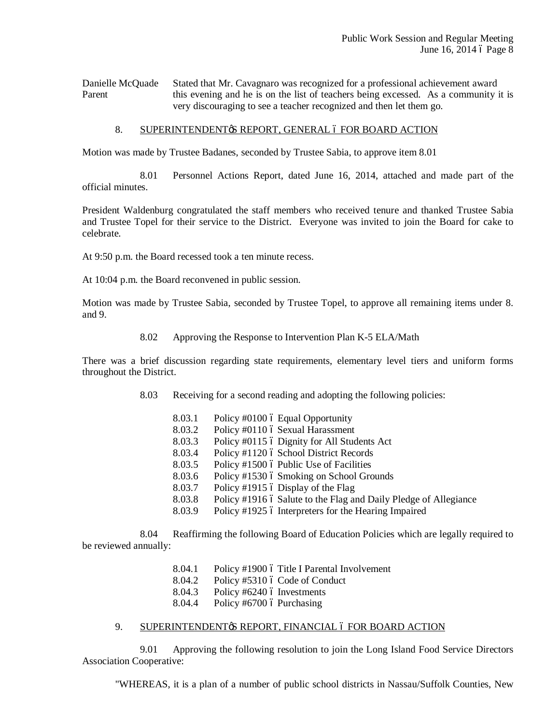Danielle McQuade Stated that Mr. Cavagnaro was recognized for a professional achievement award Parent this evening and he is on the list of teachers being excessed. As a community it is very discouraging to see a teacher recognized and then let them go.

## 8. SUPERINTENDENT & REPORT, GENERAL 6 FOR BOARD ACTION

Motion was made by Trustee Badanes, seconded by Trustee Sabia, to approve item 8.01

8.01 Personnel Actions Report, dated June 16, 2014, attached and made part of the official minutes.

President Waldenburg congratulated the staff members who received tenure and thanked Trustee Sabia and Trustee Topel for their service to the District. Everyone was invited to join the Board for cake to celebrate.

At 9:50 p.m. the Board recessed took a ten minute recess.

At 10:04 p.m. the Board reconvened in public session.

Motion was made by Trustee Sabia, seconded by Trustee Topel, to approve all remaining items under 8. and 9.

8.02 Approving the Response to Intervention Plan K-5 ELA/Math

There was a brief discussion regarding state requirements, elementary level tiers and uniform forms throughout the District.

- 8.03 Receiving for a second reading and adopting the following policies:
	- 8.03.1 Policy  $\#0100$  ó Equal Opportunity
	- 8.03.2 Policy #0110 6 Sexual Harassment
	- 8.03.3 Policy #0115 6 Dignity for All Students Act
	- 8.03.4 Policy #1120 6 School District Records
	- 8.03.5 Policy #1500 ó Public Use of Facilities
	- 8.03.6 Policy #1530 6 Smoking on School Grounds
	- 8.03.7 Policy #1915 6 Display of the Flag
	- 8.03.8 Policy #1916 6 Salute to the Flag and Daily Pledge of Allegiance
	- 8.03.9 Policy #1925 6 Interpreters for the Hearing Impaired

8.04 Reaffirming the following Board of Education Policies which are legally required to be reviewed annually:

- 8.04.1 Policy #1900 ó Title I Parental Involvement
- 8.04.2 Policy #5310  $\acute{o}$  Code of Conduct
- 8.04.3 Policy  $#6240$  ó Investments
- 8.04.4 Policy #6700  $\acute{o}$  Purchasing

## 9. SUPERINTENDENT & REPORT, FINANCIAL 6 FOR BOARD ACTION

9.01 Approving the following resolution to join the Long Island Food Service Directors Association Cooperative:

"WHEREAS, it is a plan of a number of public school districts in Nassau/Suffolk Counties, New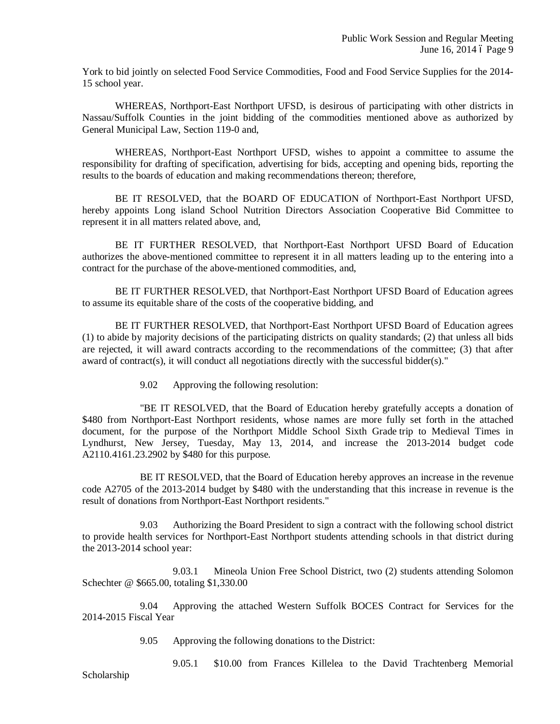York to bid jointly on selected Food Service Commodities, Food and Food Service Supplies for the 2014- 15 school year.

WHEREAS, Northport-East Northport UFSD, is desirous of participating with other districts in Nassau/Suffolk Counties in the joint bidding of the commodities mentioned above as authorized by General Municipal Law, Section 119-0 and,

WHEREAS, Northport-East Northport UFSD, wishes to appoint a committee to assume the responsibility for drafting of specification, advertising for bids, accepting and opening bids, reporting the results to the boards of education and making recommendations thereon; therefore,

BE IT RESOLVED, that the BOARD OF EDUCATION of Northport-East Northport UFSD, hereby appoints Long island School Nutrition Directors Association Cooperative Bid Committee to represent it in all matters related above, and,

BE IT FURTHER RESOLVED, that Northport-East Northport UFSD Board of Education authorizes the above-mentioned committee to represent it in all matters leading up to the entering into a contract for the purchase of the above-mentioned commodities, and,

BE IT FURTHER RESOLVED, that Northport-East Northport UFSD Board of Education agrees to assume its equitable share of the costs of the cooperative bidding, and

BE IT FURTHER RESOLVED, that Northport-East Northport UFSD Board of Education agrees (1) to abide by majority decisions of the participating districts on quality standards; (2) that unless all bids are rejected, it will award contracts according to the recommendations of the committee; (3) that after award of contract(s), it will conduct all negotiations directly with the successful bidder(s)."

9.02 Approving the following resolution:

"BE IT RESOLVED, that the Board of Education hereby gratefully accepts a donation of \$480 from Northport-East Northport residents, whose names are more fully set forth in the attached document, for the purpose of the Northport Middle School Sixth Grade trip to Medieval Times in Lyndhurst, New Jersey, Tuesday, May 13, 2014, and increase the 2013-2014 budget code A2110.4161.23.2902 by \$480 for this purpose.

BE IT RESOLVED, that the Board of Education hereby approves an increase in the revenue code A2705 of the 2013-2014 budget by \$480 with the understanding that this increase in revenue is the result of donations from Northport-East Northport residents."

9.03 Authorizing the Board President to sign a contract with the following school district to provide health services for Northport-East Northport students attending schools in that district during the 2013-2014 school year:

9.03.1 Mineola Union Free School District, two (2) students attending Solomon Schechter @ \$665.00, totaling \$1,330.00

9.04 Approving the attached Western Suffolk BOCES Contract for Services for the 2014-2015 Fiscal Year

- 9.05 Approving the following donations to the District:
	- 9.05.1 \$10.00 from Frances Killelea to the David Trachtenberg Memorial

Scholarship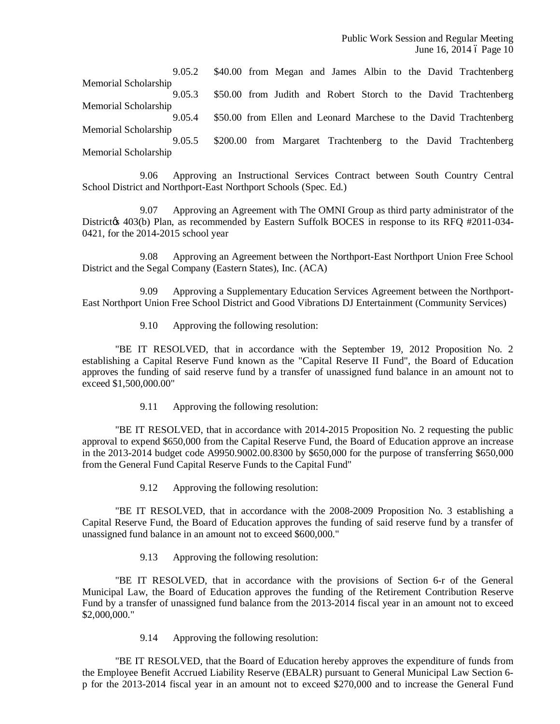Public Work Session and Regular Meeting June 16, 2014 ó Page 10

9.05.2 \$40.00 from Megan and James Albin to the David Trachtenberg Memorial Scholarship 9.05.3 \$50.00 from Judith and Robert Storch to the David Trachtenberg Memorial Scholarship 9.05.4 \$50.00 from Ellen and Leonard Marchese to the David Trachtenberg Memorial Scholarship 9.05.5 \$200.00 from Margaret Trachtenberg to the David Trachtenberg Memorial Scholarship

9.06 Approving an Instructional Services Contract between South Country Central School District and Northport-East Northport Schools (Spec. Ed.)

9.07 Approving an Agreement with The OMNI Group as third party administrator of the Districtos 403(b) Plan, as recommended by Eastern Suffolk BOCES in response to its RFQ #2011-034-0421, for the 2014-2015 school year

9.08 Approving an Agreement between the Northport-East Northport Union Free School District and the Segal Company (Eastern States), Inc. (ACA)

9.09 Approving a Supplementary Education Services Agreement between the Northport-East Northport Union Free School District and Good Vibrations DJ Entertainment (Community Services)

9.10 Approving the following resolution:

"BE IT RESOLVED, that in accordance with the September 19, 2012 Proposition No. 2 establishing a Capital Reserve Fund known as the "Capital Reserve II Fund", the Board of Education approves the funding of said reserve fund by a transfer of unassigned fund balance in an amount not to exceed \$1,500,000.00"

9.11 Approving the following resolution:

"BE IT RESOLVED, that in accordance with 2014-2015 Proposition No. 2 requesting the public approval to expend \$650,000 from the Capital Reserve Fund, the Board of Education approve an increase in the 2013-2014 budget code A9950.9002.00.8300 by \$650,000 for the purpose of transferring \$650,000 from the General Fund Capital Reserve Funds to the Capital Fund"

9.12 Approving the following resolution:

"BE IT RESOLVED, that in accordance with the 2008-2009 Proposition No. 3 establishing a Capital Reserve Fund, the Board of Education approves the funding of said reserve fund by a transfer of unassigned fund balance in an amount not to exceed \$600,000."

9.13 Approving the following resolution:

"BE IT RESOLVED, that in accordance with the provisions of Section 6-r of the General Municipal Law, the Board of Education approves the funding of the Retirement Contribution Reserve Fund by a transfer of unassigned fund balance from the 2013-2014 fiscal year in an amount not to exceed \$2,000,000."

9.14 Approving the following resolution:

"BE IT RESOLVED, that the Board of Education hereby approves the expenditure of funds from the Employee Benefit Accrued Liability Reserve (EBALR) pursuant to General Municipal Law Section 6 p for the 2013-2014 fiscal year in an amount not to exceed \$270,000 and to increase the General Fund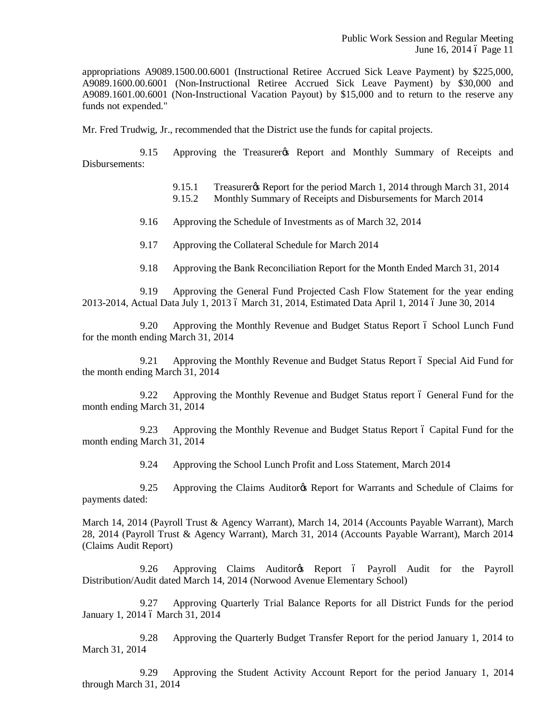appropriations A9089.1500.00.6001 (Instructional Retiree Accrued Sick Leave Payment) by \$225,000, A9089.1600.00.6001 (Non-Instructional Retiree Accrued Sick Leave Payment) by \$30,000 and A9089.1601.00.6001 (Non-Instructional Vacation Payout) by \$15,000 and to return to the reserve any funds not expended."

Mr. Fred Trudwig, Jr., recommended that the District use the funds for capital projects.

9.15 Approving the Treasurer<sub>®</sub> Report and Monthly Summary of Receipts and Disbursements:

9.15.1 Treasurer & Report for the period March 1, 2014 through March 31, 2014

9.15.2 Monthly Summary of Receipts and Disbursements for March 2014

9.16 Approving the Schedule of Investments as of March 32, 2014

9.17 Approving the Collateral Schedule for March 2014

9.18 Approving the Bank Reconciliation Report for the Month Ended March 31, 2014

9.19 Approving the General Fund Projected Cash Flow Statement for the year ending 2013-2014, Actual Data July 1, 2013 6 March 31, 2014, Estimated Data April 1, 2014 6 June 30, 2014

9.20 Approving the Monthly Revenue and Budget Status Report 6 School Lunch Fund for the month ending March 31, 2014

9.21 Approving the Monthly Revenue and Budget Status Report 6 Special Aid Fund for the month ending March 31, 2014

9.22 Approving the Monthly Revenue and Budget Status report 6 General Fund for the month ending March 31, 2014

9.23 Approving the Monthly Revenue and Budget Status Report 6 Capital Fund for the month ending March 31, 2014

9.24 Approving the School Lunch Profit and Loss Statement, March 2014

9.25 Approving the Claims Auditor & Report for Warrants and Schedule of Claims for payments dated:

March 14, 2014 (Payroll Trust & Agency Warrant), March 14, 2014 (Accounts Payable Warrant), March 28, 2014 (Payroll Trust & Agency Warrant), March 31, 2014 (Accounts Payable Warrant), March 2014 (Claims Audit Report)

9.26 Approving Claims Auditor & Report 6 Payroll Audit for the Payroll Distribution/Audit dated March 14, 2014 (Norwood Avenue Elementary School)

9.27 Approving Quarterly Trial Balance Reports for all District Funds for the period January 1, 2014 6 March 31, 2014

9.28 Approving the Quarterly Budget Transfer Report for the period January 1, 2014 to March 31, 2014

9.29 Approving the Student Activity Account Report for the period January 1, 2014 through March 31, 2014